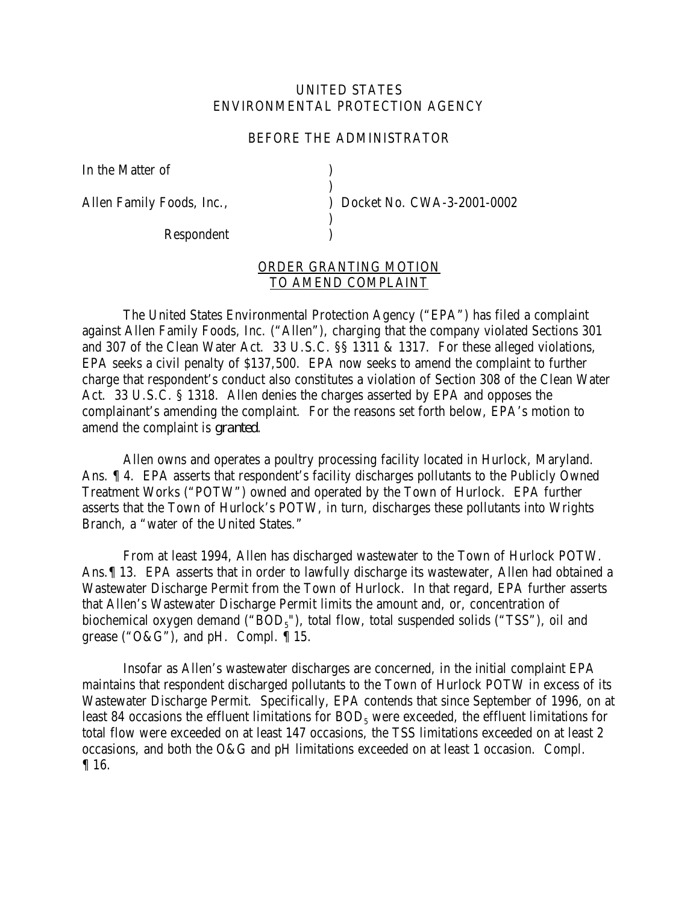## UNITED STATES ENVIRONMENTAL PROTECTION AGENCY

## BEFORE THE ADMINISTRATOR

)

)

In the Matter of (1)

Respondent )

Allen Family Foods, Inc.,  $Docket No. CWA-3-2001-0002$ 

## ORDER GRANTING MOTION TO AMEND COMPLAINT

The United States Environmental Protection Agency ("EPA") has filed a complaint against Allen Family Foods, Inc. ("Allen"), charging that the company violated Sections 301 and 307 of the Clean Water Act. 33 U.S.C. §§ 1311 & 1317. For these alleged violations, EPA seeks a civil penalty of \$137,500. EPA now seeks to amend the complaint to further charge that respondent's conduct also constitutes a violation of Section 308 of the Clean Water Act. 33 U.S.C. § 1318. Allen denies the charges asserted by EPA and opposes the complainant's amending the complaint. For the reasons set forth below, EPA's motion to amend the complaint is *granted*.

Allen owns and operates a poultry processing facility located in Hurlock, Maryland. Ans. ¶ 4. EPA asserts that respondent's facility discharges pollutants to the Publicly Owned Treatment Works ("POTW") owned and operated by the Town of Hurlock. EPA further asserts that the Town of Hurlock's POTW, in turn, discharges these pollutants into Wrights Branch, a "water of the United States."

From at least 1994, Allen has discharged wastewater to the Town of Hurlock POTW. Ans.¶ 13. EPA asserts that in order to lawfully discharge its wastewater, Allen had obtained a Wastewater Discharge Permit from the Town of Hurlock. In that regard, EPA further asserts that Allen's Wastewater Discharge Permit limits the amount and, or, concentration of biochemical oxygen demand (" $BOD<sub>5</sub>$ "), total flow, total suspended solids ("TSS"), oil and grease (" $O&G$ "), and pH. Compl.  $\P$  15.

Insofar as Allen's wastewater discharges are concerned, in the initial complaint EPA maintains that respondent discharged pollutants to the Town of Hurlock POTW in excess of its Wastewater Discharge Permit. Specifically, EPA contends that since September of 1996, on at least 84 occasions the effluent limitations for  $BOD<sub>5</sub>$  were exceeded, the effluent limitations for total flow were exceeded on at least 147 occasions, the TSS limitations exceeded on at least 2 occasions, and both the O&G and pH limitations exceeded on at least 1 occasion. Compl. ¶ 16.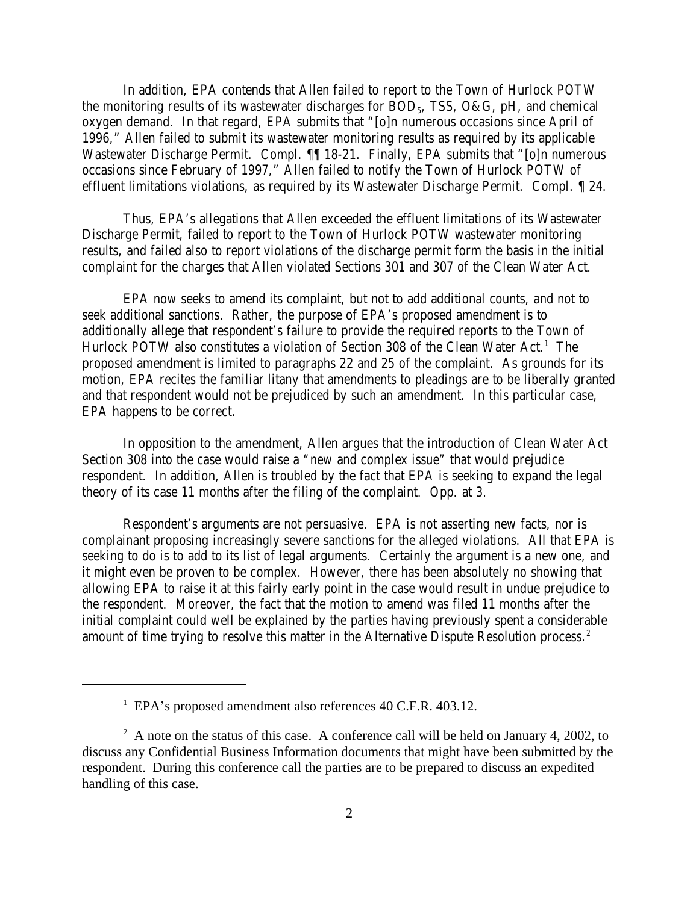In addition, EPA contends that Allen failed to report to the Town of Hurlock POTW the monitoring results of its wastewater discharges for  $BOD<sub>5</sub>$ , TSS, O&G, pH, and chemical oxygen demand. In that regard, EPA submits that "[o]n numerous occasions since April of 1996," Allen failed to submit its wastewater monitoring results as required by its applicable Wastewater Discharge Permit. Compl. ¶¶ 18-21. Finally, EPA submits that "[o]n numerous occasions since February of 1997," Allen failed to notify the Town of Hurlock POTW of effluent limitations violations, as required by its Wastewater Discharge Permit. Compl. ¶ 24.

Thus, EPA's allegations that Allen exceeded the effluent limitations of its Wastewater Discharge Permit, failed to report to the Town of Hurlock POTW wastewater monitoring results, and failed also to report violations of the discharge permit form the basis in the initial complaint for the charges that Allen violated Sections 301 and 307 of the Clean Water Act.

EPA now seeks to amend its complaint, but not to add additional counts, and not to seek additional sanctions. Rather, the purpose of EPA's proposed amendment is to additionally allege that respondent's failure to provide the required reports to the Town of Hurlock POTW also constitutes a violation of Section 308 of the Clean Water Act.<sup>1</sup> The proposed amendment is limited to paragraphs 22 and 25 of the complaint. As grounds for its motion, EPA recites the familiar litany that amendments to pleadings are to be liberally granted and that respondent would not be prejudiced by such an amendment. In this particular case, EPA happens to be correct.

In opposition to the amendment, Allen argues that the introduction of Clean Water Act Section 308 into the case would raise a "new and complex issue" that would prejudice respondent. In addition, Allen is troubled by the fact that EPA is seeking to expand the legal theory of its case 11 months after the filing of the complaint. Opp. at 3.

Respondent's arguments are not persuasive. EPA is not asserting new facts, nor is complainant proposing increasingly severe sanctions for the alleged violations. All that EPA is seeking to do is to add to its list of legal arguments. Certainly the argument is a new one, and it might even be proven to be complex. However, there has been absolutely no showing that allowing EPA to raise it at this fairly early point in the case would result in undue prejudice to the respondent. Moreover, the fact that the motion to amend was filed 11 months after the initial complaint could well be explained by the parties having previously spent a considerable amount of time trying to resolve this matter in the Alternative Dispute Resolution process.<sup>2</sup>

<sup>&</sup>lt;sup>1</sup> EPA's proposed amendment also references 40 C.F.R. 403.12.

 $2 \text{ A}$  note on the status of this case. A conference call will be held on January 4, 2002, to discuss any Confidential Business Information documents that might have been submitted by the respondent. During this conference call the parties are to be prepared to discuss an expedited handling of this case.